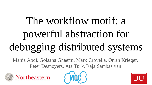# The workflow motif: a powerful abstraction for debugging distributed systems

Mania Abdi, Golsana Ghaemi, Mark Crovella, Orran Krieger, Peter Desnoyers, Ata Turk, Raja Sambasivan





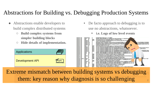## Abstractions for Building vs. Debugging Production Systems

- Abstractions enable developers to build complex distributed systems
	- **Build complex systems from simpler building blocks**
	- **Hide details of implementation.**



- De facto approach to debugging is to use no abstractions, whatsoever.
	- **i.e. Logs of low level events**



Extreme mismatch between building systems vs debugging them: key reason why diagnosis is so challenging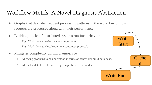#### Workflow Motifs: A Novel Diagnosis Abstraction

- Graphs that describe frequent processing patterns in the workflow of how requests are processed along with their performance.
- Building blocks of distributed systems runtime behavior.
	- E.g., Work done to write data to storage node,
	- E.g., Work done to elect leader in a consensus protocol.
- Mitigates complexity during diagnosis by:
	- Allowing problems to be understood in terms of behavioral building blocks.
	- Allow the details irrelevant to a given problem to be hidden.

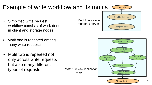

#### Example of write workflow and its motifs  $\epsilon$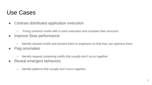## Use Cases

- Contrast distributed application execution
	- Fining common motifs with in each execution and compare their structure.
- Improve Slow performance
	- Identify slowest motifs and present them to engineers so that they can optimize them.
- Flag anomalies
	- Identify request containing motifs that usually don't occur together
- Reveal emergent behaviors
	- Identify patterns that usually don't occur together.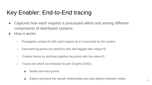## Key Enabler: End-to-End tracing

- Captures how each request is processed within and among different components of distributed systems
- How it works:
	- Propagates unique ID with each request as it is executed by the system
	- $\circ$  Executed log points are stored to disk and tagged with unique ID
	- Creates traces by stitching together log points with the same ID
	- Traces are which are Directed Acyclic Graphs (DAG) :
		- Nodes are trace points
		- Edges represent the causal relationships and also latency between nodes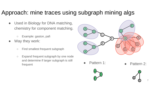## Approach: mine traces using subgraph mining algs

- Used in Biology for DNA matching, chemistry for component matching.
	- Example: gaston, pafi
- Way they work:
	- Find smallest frequent subgraph
	- Expand frequent subgraph by one node and determine if larger subgraph is still frequent



- - Pattern 1: **•** Pattern 2: